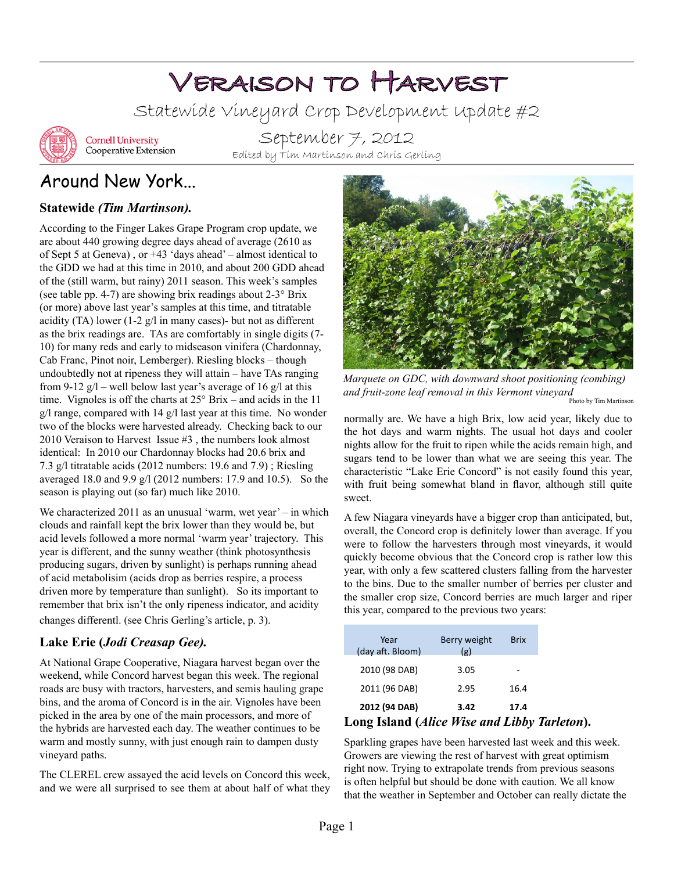# Veraison to Harvest

Statewide Vineyard Crop Development Update #2



**Cornell University** Cooperative Extension

September 7, 2012 Edited by Tim Martinson and Chris Gerling

## Around New York...

#### **Statewide** *(Tim Martinson).*

According to the Finger Lakes Grape Program crop update, we are about 440 growing degree days ahead of average (2610 as of Sept 5 at Geneva) , or +43 'days ahead' – almost identical to the GDD we had at this time in 2010, and about 200 GDD ahead of the (still warm, but rainy) 2011 season. This week's samples (see table pp. 4-7) are showing brix readings about  $2-3^\circ$  Brix (or more) above last year's samples at this time, and titratable acidity (TA) lower (1-2 g/l in many cases)- but not as different as the brix readings are. TAs are comfortably in single digits (7- 10) for many reds and early to midseason vinifera (Chardonnay, Cab Franc, Pinot noir, Lemberger). Riesling blocks – though undoubtedly not at ripeness they will attain – have TAs ranging from 9-12  $g/l$  – well below last year's average of 16  $g/l$  at this time. Vignoles is off the charts at 25° Brix – and acids in the 11 g/l range, compared with 14 g/l last year at this time. No wonder two of the blocks were harvested already. Checking back to ou[r](http://grapesandwine.cals.cornell.edu/cals/grapesandwine/veraison-to-harvest/upload/Veraison-to-Harvest-2010-3-2.pdf)  [2010 Veraison to Harvest Issue #3 ,](http://grapesandwine.cals.cornell.edu/cals/grapesandwine/veraison-to-harvest/upload/Veraison-to-Harvest-2010-3-2.pdf) the numbers look almost identical: In 2010 our Chardonnay blocks had 20.6 brix and 7.3 g/l titratable acids (2012 numbers: 19.6 and 7.9) ; Riesling averaged 18.0 and 9.9 g/l (2012 numbers: 17.9 and 10.5). So the season is playing out (so far) much like 2010.

We characterized 2011 as an unusual 'warm, wet year' – in which clouds and rainfall kept the brix lower than they would be, but acid levels followed a more normal 'warm year' trajectory. This year is different, and the sunny weather (think photosynthesis producing sugars, driven by sunlight) is perhaps running ahead of acid metabolisim (acids drop as berries respire, a process driven more by temperature than sunlight). So its important to remember that brix isn't the only ripeness indicator, and acidity changes differentl. (see Chris Gerling's article, p. 3).

#### **Lake Erie (***Jodi Creasap Gee).*

At National Grape Cooperative, Niagara harvest began over the weekend, while Concord harvest began this week. The regional roads are busy with tractors, harvesters, and semis hauling grape bins, and the aroma of Concord is in the air. Vignoles have been picked in the area by one of the main processors, and more of the hybrids are harvested each day. The weather continues to be warm and mostly sunny, with just enough rain to dampen dusty vineyard paths.

The CLEREL crew assayed the acid levels on Concord this week, and we were all surprised to see them at about half of what they



*Marquete on GDC, with downward shoot positioning (combing) and fruit-zone leaf removal in this Vermont vineyard* Photo by Tim Martinson

normally are. We have a high Brix, low acid year, likely due to the hot days and warm nights. The usual hot days and cooler nights allow for the fruit to ripen while the acids remain high, and sugars tend to be lower than what we are seeing this year. The characteristic "Lake Erie Concord" is not easily found this year, with fruit being somewhat bland in flavor, although still quite sweet.

A few Niagara vineyards have a bigger crop than anticipated, but, overall, the Concord crop is definitely lower than average. If you were to follow the harvesters through most vineyards, it would quickly become obvious that the Concord crop is rather low this year, with only a few scattered clusters falling from the harvester to the bins. Due to the smaller number of berries per cluster and the smaller crop size, Concord berries are much larger and riper this year, compared to the previous two years:

| Long Island (Alice Wise and Libby Tarleton). |                     |             |  |
|----------------------------------------------|---------------------|-------------|--|
| 2012 (94 DAB)                                | 3.42                | 17.4        |  |
| 2011 (96 DAB)                                | 2.95                | 16.4        |  |
| 2010 (98 DAB)                                | 3.05                |             |  |
| Year<br>(day aft. Bloom)                     | Berry weight<br>(g) | <b>Brix</b> |  |
|                                              |                     |             |  |

Sparkling grapes have been harvested last week and this week. Growers are viewing the rest of harvest with great optimism right now. Trying to extrapolate trends from previous seasons is often helpful but should be done with caution. We all know that the weather in September and October can really dictate the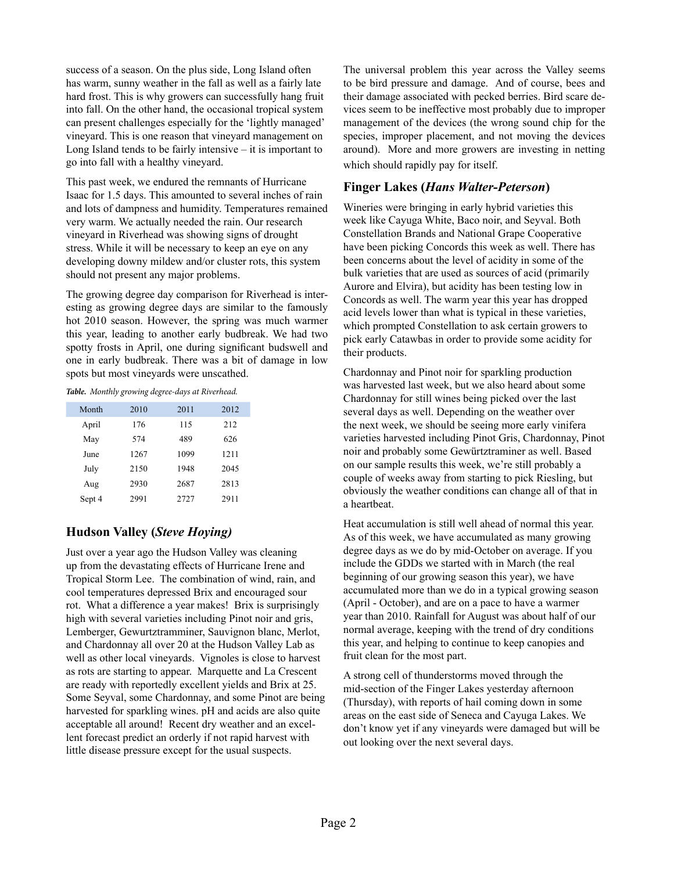success of a season. On the plus side, Long Island often has warm, sunny weather in the fall as well as a fairly late hard frost. This is why growers can successfully hang fruit into fall. On the other hand, the occasional tropical system can present challenges especially for the 'lightly managed' vineyard. This is one reason that vineyard management on Long Island tends to be fairly intensive  $-$  it is important to go into fall with a healthy vineyard.

This past week, we endured the remnants of Hurricane Isaac for 1.5 days. This amounted to several inches of rain and lots of dampness and humidity. Temperatures remained very warm. We actually needed the rain. Our research vineyard in Riverhead was showing signs of drought stress. While it will be necessary to keep an eye on any developing downy mildew and/or cluster rots, this system should not present any major problems.

The growing degree day comparison for Riverhead is interesting as growing degree days are similar to the famously hot 2010 season. However, the spring was much warmer this year, leading to another early budbreak. We had two spotty frosts in April, one during significant budswell and one in early budbreak. There was a bit of damage in low spots but most vineyards were unscathed.

#### *Table. Monthly growing degree-days at Riverhead.*

| Month  | 2010 | 2011 | 2012 |
|--------|------|------|------|
| April  | 176  | 115  | 212  |
| May    | 574  | 489  | 626  |
| June   | 1267 | 1099 | 1211 |
| July   | 2150 | 1948 | 2045 |
| Aug    | 2930 | 2687 | 2813 |
| Sept 4 | 2991 | 2727 | 2911 |

#### **Hudson Valley (***Steve Hoying)*

Just over a year ago the Hudson Valley was cleaning up from the devastating effects of Hurricane Irene and Tropical Storm Lee. The combination of wind, rain, and cool temperatures depressed Brix and encouraged sour rot. What a difference a year makes! Brix is surprisingly high with several varieties including Pinot noir and gris, Lemberger, Gewurtztramminer, Sauvignon blanc, Merlot, and Chardonnay all over 20 at the Hudson Valley Lab as well as other local vineyards. Vignoles is close to harvest as rots are starting to appear. Marquette and La Crescent are ready with reportedly excellent yields and Brix at 25. Some Seyval, some Chardonnay, and some Pinot are being harvested for sparkling wines. pH and acids are also quite acceptable all around! Recent dry weather and an excellent forecast predict an orderly if not rapid harvest with little disease pressure except for the usual suspects.

The universal problem this year across the Valley seems to be bird pressure and damage. And of course, bees and their damage associated with pecked berries. Bird scare devices seem to be ineffective most probably due to improper management of the devices (the wrong sound chip for the species, improper placement, and not moving the devices around). More and more growers are investing in netting which should rapidly pay for itself.

#### **Finger Lakes (***Hans Walter-Peterson***)**

Wineries were bringing in early hybrid varieties this week like Cayuga White, Baco noir, and Seyval. Both Constellation Brands and National Grape Cooperative have been picking Concords this week as well. There has been concerns about the level of acidity in some of the bulk varieties that are used as sources of acid (primarily Aurore and Elvira), but acidity has been testing low in Concords as well. The warm year this year has dropped acid levels lower than what is typical in these varieties, which prompted Constellation to ask certain growers to pick early Catawbas in order to provide some acidity for their products.

Chardonnay and Pinot noir for sparkling production was harvested last week, but we also heard about some Chardonnay for still wines being picked over the last several days as well. Depending on the weather over the next week, we should be seeing more early vinifera varieties harvested including Pinot Gris, Chardonnay, Pinot noir and probably some Gewürtztraminer as well. Based on our sample results this week, we're still probably a couple of weeks away from starting to pick Riesling, but obviously the weather conditions can change all of that in a heartbeat.

Heat accumulation is still well ahead of normal this year. As of this week, we have accumulated as many growing degree days as we do by mid-October on average. If you include the GDDs we started with in March (the real beginning of our growing season this year), we have accumulated more than we do in a typical growing season (April - October), and are on a pace to have a warmer year than 2010. Rainfall for August was about half of our normal average, keeping with the trend of dry conditions this year, and helping to continue to keep canopies and fruit clean for the most part.

A strong cell of thunderstorms moved through the mid-section of the Finger Lakes yesterday afternoon (Thursday), with reports of hail coming down in some areas on the east side of Seneca and Cayuga Lakes. We don't know yet if any vineyards were damaged but will be out looking over the next several days.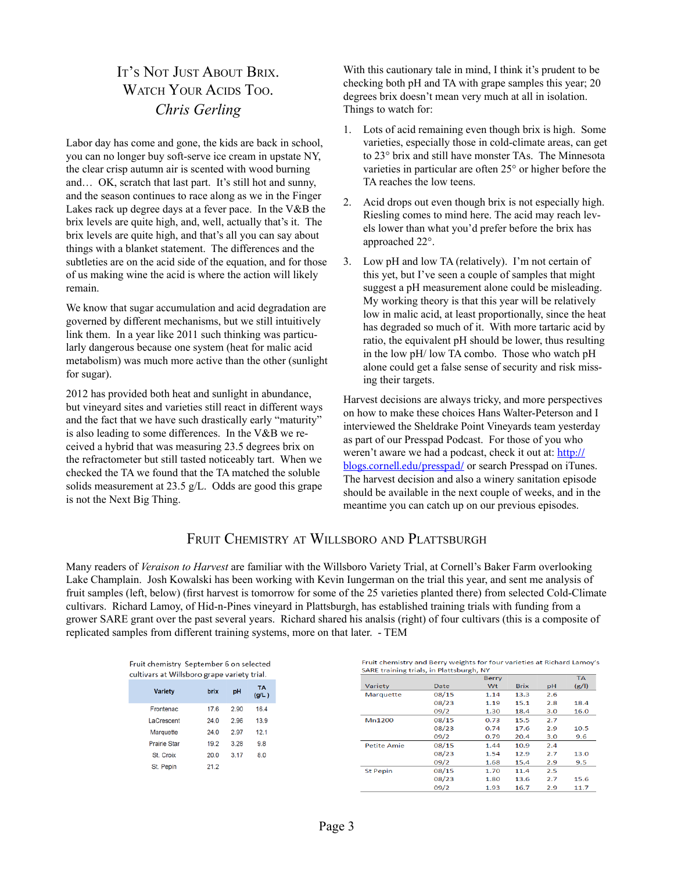## It's Not Just About Brix. WATCH YOUR ACIDS TOO. *Chris Gerling*

Labor day has come and gone, the kids are back in school, you can no longer buy soft-serve ice cream in upstate NY, the clear crisp autumn air is scented with wood burning and… OK, scratch that last part. It's still hot and sunny, and the season continues to race along as we in the Finger Lakes rack up degree days at a fever pace. In the V&B the brix levels are quite high, and, well, actually that's it. The brix levels are quite high, and that's all you can say about things with a blanket statement. The differences and the subtleties are on the acid side of the equation, and for those of us making wine the acid is where the action will likely remain.

We know that sugar accumulation and acid degradation are governed by different mechanisms, but we still intuitively link them. In a year like 2011 such thinking was particularly dangerous because one system (heat for malic acid metabolism) was much more active than the other (sunlight for sugar).

2012 has provided both heat and sunlight in abundance, but vineyard sites and varieties still react in different ways and the fact that we have such drastically early "maturity" is also leading to some differences. In the V&B we received a hybrid that was measuring 23.5 degrees brix on the refractometer but still tasted noticeably tart. When we checked the TA we found that the TA matched the soluble solids measurement at 23.5 g/L. Odds are good this grape is not the Next Big Thing.

With this cautionary tale in mind, I think it's prudent to be checking both pH and TA with grape samples this year; 20 degrees brix doesn't mean very much at all in isolation. Things to watch for:

- 1. Lots of acid remaining even though brix is high. Some varieties, especially those in cold-climate areas, can get to 23° brix and still have monster TAs. The Minnesota varieties in particular are often 25° or higher before the TA reaches the low teens.
- 2. Acid drops out even though brix is not especially high. Riesling comes to mind here. The acid may reach levels lower than what you'd prefer before the brix has approached 22°.
- 3. Low pH and low TA (relatively). I'm not certain of this yet, but I've seen a couple of samples that might suggest a pH measurement alone could be misleading. My working theory is that this year will be relatively low in malic acid, at least proportionally, since the heat has degraded so much of it. With more tartaric acid by ratio, the equivalent pH should be lower, thus resulting in the low pH/ low TA combo. Those who watch pH alone could get a false sense of security and risk missing their targets.

Harvest decisions are always tricky, and more perspectives on how to make these choices Hans Walter-Peterson and I interviewed the Sheldrake Point Vineyards team yesterday as part of our Presspad Podcast. For those of you who weren't aware we had a podcast, check it out at: [http://](http://blogs.cornell.edu/presspad/) [blogs.cornell.edu/presspad/](http://blogs.cornell.edu/presspad/) or search Presspad on iTunes. The harvest decision and also a winery sanitation episode should be available in the next couple of weeks, and in the meantime you can catch up on our previous episodes.

#### FRUIT CHEMISTRY AT WILLSBORO AND PLATTSBURGH

Many readers of *Veraison to Harvest* are familiar with the Willsboro Variety Trial, at Cornell's Baker Farm overlooking Lake Champlain. Josh Kowalski has been working with Kevin Iungerman on the trial this year, and sent me analysis of fruit samples (left, below) (first harvest is tomorrow for some of the 25 varieties planted there) from selected Cold-Climate cultivars. Richard Lamoy, of Hid-n-Pines vineyard in Plattsburgh, has established training trials with funding from a grower SARE grant over the past several years. Richard shared his analsis (right) of four cultivars (this is a composite of replicated samples from different training systems, more on that later. - TEM

| Fruit chemistry  September 6 on selected<br>cultivars at Willsboro grape variety trial. |      |      |                    |  |  |  |  |  |  |
|-----------------------------------------------------------------------------------------|------|------|--------------------|--|--|--|--|--|--|
| <b>Variety</b>                                                                          | brix | pH   | <b>TA</b><br>(g/L) |  |  |  |  |  |  |
| <b>Frontenac</b>                                                                        | 17.6 | 2.90 | 16.4               |  |  |  |  |  |  |
| LaCrescent                                                                              | 24.0 | 2.96 | 13.9               |  |  |  |  |  |  |
| Marquette                                                                               | 24.0 | 2.97 | 12.1               |  |  |  |  |  |  |
| Prairie Star                                                                            | 19.2 | 3.28 | 9.8                |  |  |  |  |  |  |
| St. Croix                                                                               | 20.0 | 3.17 | 8.0                |  |  |  |  |  |  |
| St. Pepin                                                                               | 21.2 |      |                    |  |  |  |  |  |  |

Fruit chemistry and Berry weights for four varieties at Richard Lamoy's SARE training trials, in Plattsburgh, NY

|                    |       | Berry |             |     | <b>TA</b> |
|--------------------|-------|-------|-------------|-----|-----------|
| Variety            | Date  | Wt    | <b>Brix</b> | pH  | (g/l)     |
| Marquette          | 08/15 | 1.14  | 13.3        | 2.6 |           |
|                    | 08/23 | 1.19  | 15.1        | 2.8 | 18.4      |
|                    | 09/2  | 1.30  | 18.4        | 3.0 | 16.0      |
| Mn1200             | 08/15 | 0.73  | 15.5        | 2.7 |           |
|                    | 08/23 | 0.74  | 17.6        | 2.9 | 10.5      |
|                    | 09/2  | 0.79  | 20.4        | 3.0 | 9.6       |
| <b>Petite Amie</b> | 08/15 | 1.44  | 10.9        | 2.4 |           |
|                    | 08/23 | 1.54  | 12.9        | 2.7 | 13.0      |
|                    | 09/2  | 1.68  | 15.4        | 2.9 | 9.5       |
| <b>St Pepin</b>    | 08/15 | 1.70  | 11.4        | 2.5 |           |
|                    | 08/23 | 1.80  | 13.6        | 2.7 | 15.6      |
|                    | 09/2  | 1.93  | 16.7        | 2.9 | 11.7      |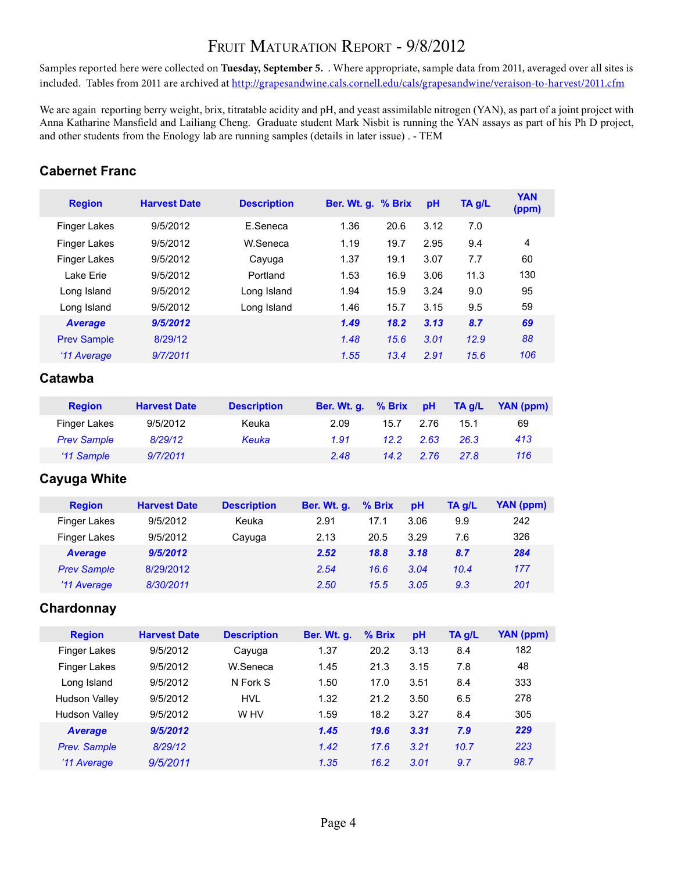## FRUIT MATURATION REPORT - 9/8/2012

Samples reported here were collected on **Tuesday, September 5.** . Where appropriate, sample data from 2011, averaged over all sites is included. Tables from 2011 are archived at <http://grapesandwine.cals.cornell.edu/cals/grapesandwine/veraison-to-harvest/2011.cfm>

We are again reporting berry weight, brix, titratable acidity and pH, and yeast assimilable nitrogen (YAN), as part of a joint project with Anna Katharine Mansfield and Lailiang Cheng. Graduate student Mark Nisbit is running the YAN assays as part of his Ph D project, and other students from the Enology lab are running samples (details in later issue) . - TEM

#### **Cabernet Franc**

| <b>Region</b>       | <b>Harvest Date</b> | <b>Description</b> | Ber. Wt. g. % Brix |      | pH   | TA g/L | <b>YAN</b><br>(ppm) |
|---------------------|---------------------|--------------------|--------------------|------|------|--------|---------------------|
| <b>Finger Lakes</b> | 9/5/2012            | E.Seneca           | 1.36               | 20.6 | 3.12 | 7.0    |                     |
| <b>Finger Lakes</b> | 9/5/2012            | W.Seneca           | 1.19               | 19.7 | 2.95 | 9.4    | 4                   |
| <b>Finger Lakes</b> | 9/5/2012            | Cayuga             | 1.37               | 19.1 | 3.07 | 7.7    | 60                  |
| Lake Erie           | 9/5/2012            | Portland           | 1.53               | 16.9 | 3.06 | 11.3   | 130                 |
| Long Island         | 9/5/2012            | Long Island        | 1.94               | 15.9 | 3.24 | 9.0    | 95                  |
| Long Island         | 9/5/2012            | Long Island        | 1.46               | 15.7 | 3.15 | 9.5    | 59                  |
| <b>Average</b>      | 9/5/2012            |                    | 1.49               | 18.2 | 3.13 | 8.7    | 69                  |
| <b>Prev Sample</b>  | 8/29/12             |                    | 1.48               | 15.6 | 3.01 | 12.9   | 88                  |
| '11 Average         | 9/7/2011            |                    | 1.55               | 13.4 | 2.91 | 15.6   | 106                 |
|                     |                     |                    |                    |      |      |        |                     |

#### **Catawba**

| <b>Region</b>      | <b>Harvest Date</b> | <b>Description</b> | Ber. Wt. q. % Brix |                | <b>DH</b> | TA q/L | YAN (ppm) |
|--------------------|---------------------|--------------------|--------------------|----------------|-----------|--------|-----------|
| Finger Lakes       | 9/5/2012            | Keuka              | 2.09               | 15.7           | 2.76      | 15.1   | 69        |
| <b>Prev Sample</b> | 8/29/12             | Keuka              | 1.91               | 12.2           | 2.63      | 26.3   | 413       |
| '11 Sample         | 9/7/2011            |                    | 2.48               | $14.2^{\circ}$ | 276       | 27.8   | 116       |

#### **Cayuga White**

| <b>Region</b>       | <b>Harvest Date</b> | <b>Description</b> | Ber. Wt. q. | % Brix | <b>pH</b> | TA g/L | YAN (ppm) |
|---------------------|---------------------|--------------------|-------------|--------|-----------|--------|-----------|
| <b>Finger Lakes</b> | 9/5/2012            | Keuka              | 2.91        | 17.1   | 3.06      | 9.9    | 242       |
| <b>Finger Lakes</b> | 9/5/2012            | Cayuga             | 2.13        | 20.5   | 3.29      | 7.6    | 326       |
| <b>Average</b>      | 9/5/2012            |                    | 2.52        | 18.8   | 3.18      | 8.7    | 284       |
| <b>Prev Sample</b>  | 8/29/2012           |                    | 2.54        | 16.6   | 3.04      | 10.4   | 177       |
| '11 Average         | 8/30/2011           |                    | 2.50        | 15.5   | 3.05      | 9.3    | 201       |

#### **Chardonnay**

| <b>Region</b>        | <b>Harvest Date</b> | <b>Description</b> | Ber. Wt. q. | $%$ Brix | pH   | TA g/L | YAN (ppm) |
|----------------------|---------------------|--------------------|-------------|----------|------|--------|-----------|
| Finger Lakes         | 9/5/2012            | Cayuga             | 1.37        | 20.2     | 3.13 | 8.4    | 182       |
| <b>Finger Lakes</b>  | 9/5/2012            | W.Seneca           | 1.45        | 21.3     | 3.15 | 7.8    | 48        |
| Long Island          | 9/5/2012            | N Fork S           | 1.50        | 17.0     | 3.51 | 8.4    | 333       |
| Hudson Valley        | 9/5/2012            | <b>HVL</b>         | 1.32        | 21.2     | 3.50 | 6.5    | 278       |
| <b>Hudson Valley</b> | 9/5/2012            | W HV               | 1.59        | 18.2     | 3.27 | 8.4    | 305       |
| <b>Average</b>       | 9/5/2012            |                    | 1.45        | 19.6     | 3.31 | 7.9    | 229       |
| <b>Prev. Sample</b>  | 8/29/12             |                    | 1.42        | 17.6     | 3.21 | 10.7   | 223       |
| '11 Average          | 9/5/2011            |                    | 1.35        | 16.2     | 3.01 | 9.7    | 98.7      |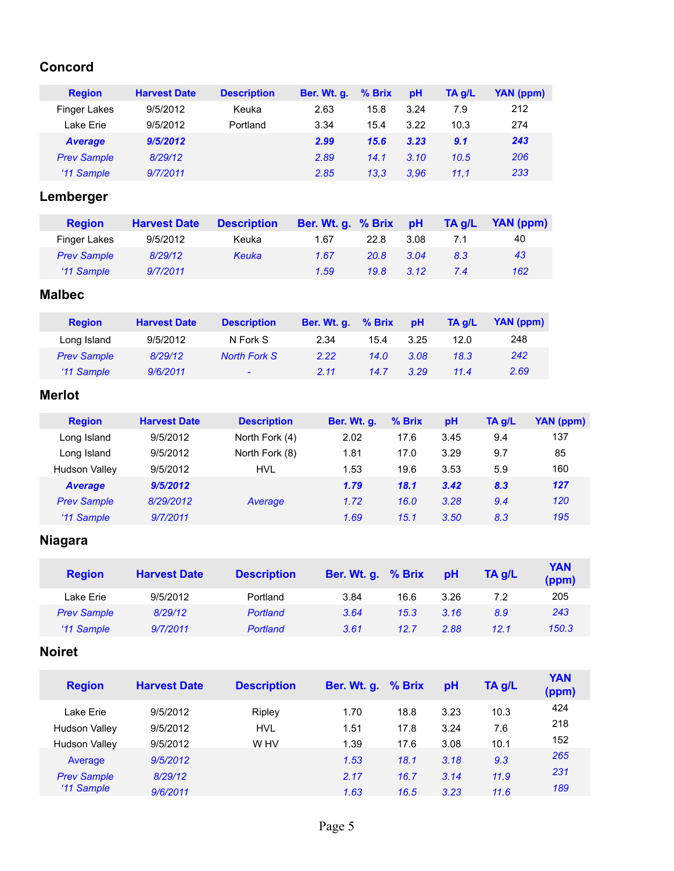#### **Concord**

| <b>Region</b>      | <b>Harvest Date</b> | <b>Description</b> | Ber. Wt. g. | $%$ Brix | pH   | TA g/L | YAN (ppm) |
|--------------------|---------------------|--------------------|-------------|----------|------|--------|-----------|
| Finger Lakes       | 9/5/2012            | Keuka              | 2.63        | 15.8     | 3.24 | 7.9    | 212       |
| Lake Erie          | 9/5/2012            | Portland           | 3.34        | 15.4     | 3.22 | 10.3   | 274       |
| <b>Average</b>     | 9/5/2012            |                    | 2.99        | 15.6     | 3.23 | 9.1    | 243       |
| <b>Prev Sample</b> | 8/29/12             |                    | 2.89        | 14.1     | 3.10 | 10.5   | 206       |
| '11 Sample         | 9/7/2011            |                    | 2.85        | 13.3     | 3.96 | 11.1   | 233       |

## **Lemberger**

| <b>Region</b>      | <b>Harvest Date</b> | <b>Description</b> | Ber. Wt. g. % Brix |             | <b>Hd</b> | TA g/L | YAN (ppm) |
|--------------------|---------------------|--------------------|--------------------|-------------|-----------|--------|-----------|
| Finger Lakes       | 9/5/2012            | Keuka              | 1.67               | 22 8        | 3.08      | 71     | 40        |
| <b>Prev Sample</b> | 8/29/12             | Keuka              | 1.67               | <b>20.8</b> | 3.04      | 8.3    | 43        |
| '11 Sample         | 9/7/2011            |                    | 1.59               | 19.8        | 3.12      | 7.4    | 162       |

## **Malbec**

| <b>Region</b>      | <b>Harvest Date</b> | <b>Description</b>  | Ber. Wt. q. | $%$ Brix | <b>pH</b> | TA a/L | YAN (ppm) |
|--------------------|---------------------|---------------------|-------------|----------|-----------|--------|-----------|
| Long Island        | 9/5/2012            | N Fork S            | 2.34        | 15.4     | 3.25      | 12.0   | 248       |
| <b>Prev Sample</b> | 8/29/12             | <b>North Fork S</b> | 2.22        | 14.0     | 3.08      | 18.3   | 242       |
| '11 Sample         | 9/6/2011            | $\sim$              | 2.11        | 14.7     | 3.29      | 11.4   | 2.69      |

## **Merlot**

| <b>Region</b>      | <b>Harvest Date</b> | <b>Description</b> | Ber. Wt. q. | % Brix | pH   | TA g/L | YAN (ppm) |
|--------------------|---------------------|--------------------|-------------|--------|------|--------|-----------|
| Long Island        | 9/5/2012            | North Fork (4)     | 2.02        | 17.6   | 3.45 | 9.4    | 137       |
| Long Island        | 9/5/2012            | North Fork (8)     | 1.81        | 17.0   | 3.29 | 9.7    | 85        |
| Hudson Valley      | 9/5/2012            | <b>HVL</b>         | 1.53        | 19.6   | 3.53 | 5.9    | 160       |
| <b>Average</b>     | 9/5/2012            |                    | 1.79        | 18.1   | 3.42 | 8.3    | 127       |
| <b>Prev Sample</b> | 8/29/2012           | Average            | 1.72        | 16.0   | 3.28 | 9.4    | 120       |
| '11 Sample         | 9/7/2011            |                    | 1.69        | 15.1   | 3.50 | 8.3    | 195       |

## **Niagara**

| <b>Region</b>      | <b>Harvest Date</b> | <b>Description</b> | Ber. Wt. g. % Brix |      | pH   | $TA$ $g/L$ | <b>YAN</b><br>(ppm) |
|--------------------|---------------------|--------------------|--------------------|------|------|------------|---------------------|
| Lake Erie          | 9/5/2012            | Portland           | 3.84               | 16.6 | 3.26 | 7.2        | 205                 |
| <b>Prev Sample</b> | 8/29/12             | <b>Portland</b>    | 3.64               | 15.3 | 3.16 | 8.9        | 243                 |
| '11 Sample         | 9/7/2011            | Portland           | 3.61               | 12.7 | 2.88 | 12.1       | 150.3               |

#### **Noiret**

| <b>Region</b>        | <b>Harvest Date</b> | <b>Description</b> | Ber. Wt. g. % Brix |      | <b>DH</b> | TA g/L | <b>YAN</b><br>(ppm) |
|----------------------|---------------------|--------------------|--------------------|------|-----------|--------|---------------------|
| Lake Erie            | 9/5/2012            | Ripley             | 1.70               | 18.8 | 3.23      | 10.3   | 424                 |
| Hudson Valley        | 9/5/2012            | <b>HVL</b>         | 1.51               | 17.8 | 3.24      | 7.6    | 218                 |
| <b>Hudson Valley</b> | 9/5/2012            | W HV               | 1.39               | 17.6 | 3.08      | 10.1   | 152                 |
| Average              | 9/5/2012            |                    | 1.53               | 18.1 | 3.18      | 9.3    | 265                 |
| <b>Prev Sample</b>   | 8/29/12             |                    | 2.17               | 16.7 | 3.14      | 11.9   | 231                 |
| '11 Sample           | 9/6/2011            |                    | 1.63               | 16.5 | 3.23      | 11.6   | 189                 |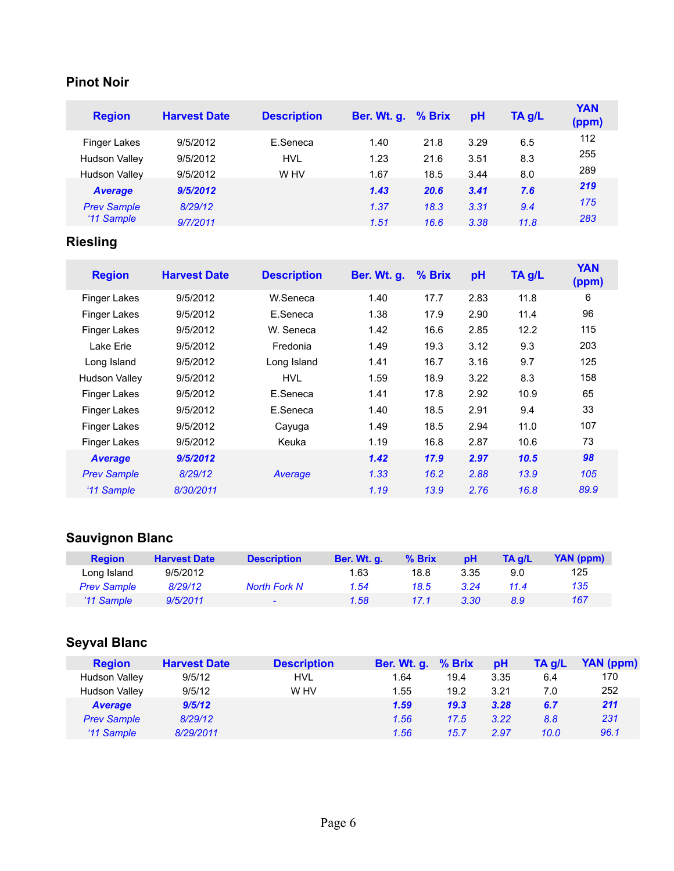## **Pinot Noir**

| <b>Region</b>        | <b>Harvest Date</b> | <b>Description</b> | Ber. Wt. g. % Brix |      | pH   | $TA$ g/L | <b>YAN</b><br>(ppm) |
|----------------------|---------------------|--------------------|--------------------|------|------|----------|---------------------|
| <b>Finger Lakes</b>  | 9/5/2012            | E.Seneca           | 1.40               | 21.8 | 3.29 | 6.5      | 112                 |
| <b>Hudson Valley</b> | 9/5/2012            | <b>HVL</b>         | 1.23               | 21.6 | 3.51 | 8.3      | 255                 |
| <b>Hudson Valley</b> | 9/5/2012            | W HV               | 1.67               | 18.5 | 3.44 | 8.0      | 289                 |
| <b>Average</b>       | 9/5/2012            |                    | 1.43               | 20.6 | 3.41 | 7.6      | 219                 |
| <b>Prev Sample</b>   | 8/29/12             |                    | 1.37               | 18.3 | 3.31 | 9.4      | 175                 |
| '11 Sample           | 9/7/2011            |                    | 1.51               | 16.6 | 3.38 | 11.8     | 283                 |

## **Riesling**

| <b>Region</b>       | <b>Harvest Date</b> | <b>Description</b> | <b>Ber. Wt. g.</b> | % Brix | pH   | TA g/L | <b>YAN</b><br>(ppm) |
|---------------------|---------------------|--------------------|--------------------|--------|------|--------|---------------------|
| <b>Finger Lakes</b> | 9/5/2012            | W.Seneca           | 1.40               | 17.7   | 2.83 | 11.8   | 6                   |
| Finger Lakes        | 9/5/2012            | E.Seneca           | 1.38               | 17.9   | 2.90 | 11.4   | 96                  |
| Finger Lakes        | 9/5/2012            | W. Seneca          | 1.42               | 16.6   | 2.85 | 12.2   | 115                 |
| Lake Erie           | 9/5/2012            | Fredonia           | 1.49               | 19.3   | 3.12 | 9.3    | 203                 |
| Long Island         | 9/5/2012            | Long Island        | 1.41               | 16.7   | 3.16 | 9.7    | 125                 |
| Hudson Valley       | 9/5/2012            | <b>HVL</b>         | 1.59               | 18.9   | 3.22 | 8.3    | 158                 |
| <b>Finger Lakes</b> | 9/5/2012            | E.Seneca           | 1.41               | 17.8   | 2.92 | 10.9   | 65                  |
| Finger Lakes        | 9/5/2012            | E.Seneca           | 1.40               | 18.5   | 2.91 | 9.4    | 33                  |
| <b>Finger Lakes</b> | 9/5/2012            | Cayuga             | 1.49               | 18.5   | 2.94 | 11.0   | 107                 |
| <b>Finger Lakes</b> | 9/5/2012            | Keuka              | 1.19               | 16.8   | 2.87 | 10.6   | 73                  |
| <b>Average</b>      | 9/5/2012            |                    | 1.42               | 17.9   | 2.97 | 10.5   | 98                  |
| <b>Prev Sample</b>  | 8/29/12             | Average            | 1.33               | 16.2   | 2.88 | 13.9   | 105                 |
| '11 Sample          | 8/30/2011           |                    | 1.19               | 13.9   | 2.76 | 16.8   | 89.9                |

## **Sauvignon Blanc**

| <b>Region</b>      | <b>Harvest Date</b> | <b>Description</b>       | Ber. Wt. q. | % Brix | <b>pH</b> | TA a/L | YAN (ppm) |
|--------------------|---------------------|--------------------------|-------------|--------|-----------|--------|-----------|
| Long Island        | 9/5/2012            |                          | 1.63        | 18.8   | 3.35      | 9.0    | 125       |
| <b>Prev Sample</b> | 8/29/12             | <b>North Fork N</b>      | 1.54        | 18.5   | 3.24      | 11.4   | 135       |
| '11 Sample         | 9/5/2011            | $\overline{\phantom{0}}$ | 1.58        | 17.1   | 3.30      | 8.9    | 167       |

## **Seyval Blanc**

| <b>Region</b>        | <b>Harvest Date</b> | <b>Description</b> | Ber. Wt. g. % Brix |      | pH   | TA g/L | YAN (ppm) |
|----------------------|---------------------|--------------------|--------------------|------|------|--------|-----------|
| <b>Hudson Valley</b> | 9/5/12              | HVL                | 1.64               | 19.4 | 3.35 | 6.4    | 170       |
| <b>Hudson Valley</b> | 9/5/12              | W HV               | 1.55               | 19.2 | 3.21 | 7.0    | 252       |
| <b>Average</b>       | 9/5/12              |                    | 1.59               | 19.3 | 3.28 | 6.7    | 211       |
| <b>Prev Sample</b>   | 8/29/12             |                    | 1.56               | 17.5 | 3.22 | 8.8    | 231       |
| '11 Sample           | 8/29/2011           |                    | 1.56               | 15.7 | 2.97 | 10.0   | 96.1      |